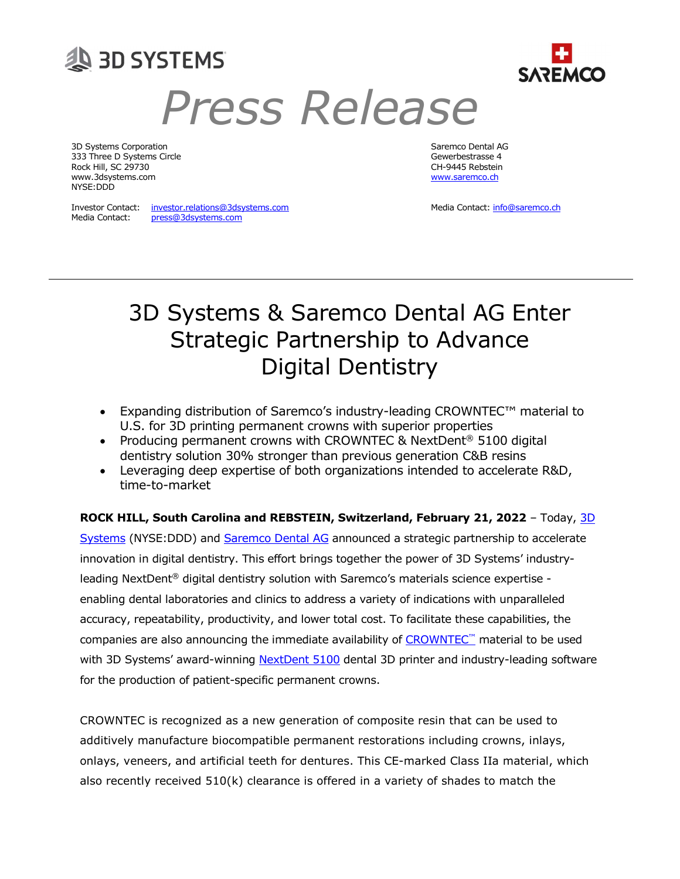

# Press Release

3D Systems Corporation Saremco Dental AG 333 Three D Systems Circle Gewerbestrasse 4 Rock Hill, SC 29730 CH-9445 Rebstein www.3dsystems.com <u>www.saremco.ch</u> NYSE:DDD

Media Contact: press@3dsystems.com

Investor Contact: investor.relations@3dsystems.com Media Contact: info@saremco.ch

## 3D Systems & Saremco Dental AG Enter Strategic Partnership to Advance Digital Dentistry

- Expanding distribution of Saremco's industry-leading CROWNTEC™ material to U.S. for 3D printing permanent crowns with superior properties
- Producing permanent crowns with CROWNTEC & NextDent<sup>®</sup> 5100 digital dentistry solution 30% stronger than previous generation C&B resins
- Leveraging deep expertise of both organizations intended to accelerate R&D, time-to-market

ROCK HILL, South Carolina and REBSTEIN, Switzerland, February 21, 2022 - Today, 3D

Systems (NYSE:DDD) and Saremco Dental AG announced a strategic partnership to accelerate innovation in digital dentistry. This effort brings together the power of 3D Systems' industryleading NextDent® digital dentistry solution with Saremco's materials science expertise enabling dental laboratories and clinics to address a variety of indications with unparalleled accuracy, repeatability, productivity, and lower total cost. To facilitate these capabilities, the companies are also announcing the immediate availability of CROWNTEC™ material to be used with 3D Systems' award-winning NextDent 5100 dental 3D printer and industry-leading software for the production of patient-specific permanent crowns.

CROWNTEC is recognized as a new generation of composite resin that can be used to additively manufacture biocompatible permanent restorations including crowns, inlays, onlays, veneers, and artificial teeth for dentures. This CE-marked Class IIa material, which also recently received  $510(k)$  clearance is offered in a variety of shades to match the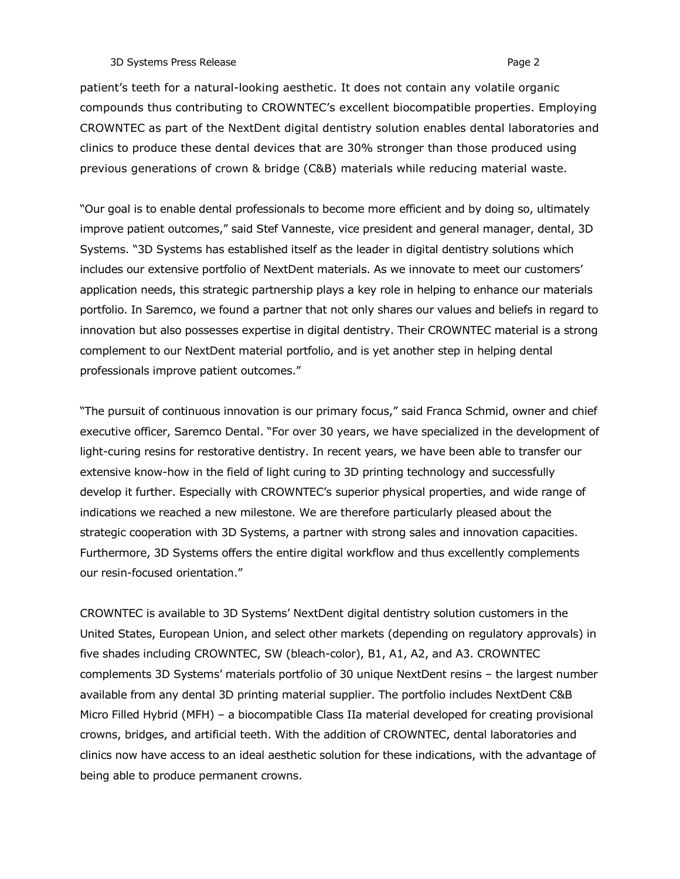#### 3D Systems Press Release **Page 2** and the system of the system of the system of the system of the system of the system of the system of the system of the system of the system of the system of the system of the system of th

patient's teeth for a natural-looking aesthetic. It does not contain any volatile organic compounds thus contributing to CROWNTEC's excellent biocompatible properties. Employing CROWNTEC as part of the NextDent digital dentistry solution enables dental laboratories and clinics to produce these dental devices that are 30% stronger than those produced using previous generations of crown & bridge (C&B) materials while reducing material waste.

"Our goal is to enable dental professionals to become more efficient and by doing so, ultimately improve patient outcomes," said Stef Vanneste, vice president and general manager, dental, 3D Systems. "3D Systems has established itself as the leader in digital dentistry solutions which includes our extensive portfolio of NextDent materials. As we innovate to meet our customers' application needs, this strategic partnership plays a key role in helping to enhance our materials portfolio. In Saremco, we found a partner that not only shares our values and beliefs in regard to innovation but also possesses expertise in digital dentistry. Their CROWNTEC material is a strong complement to our NextDent material portfolio, and is yet another step in helping dental professionals improve patient outcomes."

"The pursuit of continuous innovation is our primary focus," said Franca Schmid, owner and chief executive officer, Saremco Dental. "For over 30 years, we have specialized in the development of light-curing resins for restorative dentistry. In recent years, we have been able to transfer our extensive know-how in the field of light curing to 3D printing technology and successfully develop it further. Especially with CROWNTEC's superior physical properties, and wide range of indications we reached a new milestone. We are therefore particularly pleased about the strategic cooperation with 3D Systems, a partner with strong sales and innovation capacities. Furthermore, 3D Systems offers the entire digital workflow and thus excellently complements our resin-focused orientation."

CROWNTEC is available to 3D Systems' NextDent digital dentistry solution customers in the United States, European Union, and select other markets (depending on regulatory approvals) in five shades including CROWNTEC, SW (bleach-color), B1, A1, A2, and A3. CROWNTEC complements 3D Systems' materials portfolio of 30 unique NextDent resins – the largest number available from any dental 3D printing material supplier. The portfolio includes NextDent C&B Micro Filled Hybrid (MFH) – a biocompatible Class IIa material developed for creating provisional crowns, bridges, and artificial teeth. With the addition of CROWNTEC, dental laboratories and clinics now have access to an ideal aesthetic solution for these indications, with the advantage of being able to produce permanent crowns.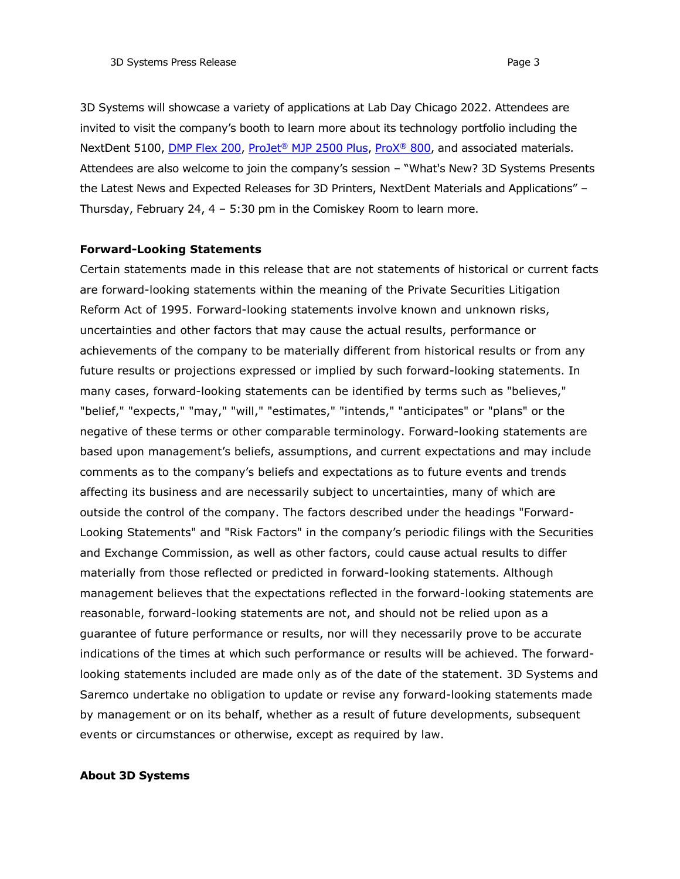3D Systems will showcase a variety of applications at Lab Day Chicago 2022. Attendees are invited to visit the company's booth to learn more about its technology portfolio including the NextDent 5100, *DMP Flex 200*, *ProJet® MJP 2500 Plus, ProX® 800*, and associated materials. Attendees are also welcome to join the company's session – "What's New? 3D Systems Presents the Latest News and Expected Releases for 3D Printers, NextDent Materials and Applications" – Thursday, February 24, 4 – 5:30 pm in the Comiskey Room to learn more.

### Forward-Looking Statements

Certain statements made in this release that are not statements of historical or current facts are forward-looking statements within the meaning of the Private Securities Litigation Reform Act of 1995. Forward-looking statements involve known and unknown risks, uncertainties and other factors that may cause the actual results, performance or achievements of the company to be materially different from historical results or from any future results or projections expressed or implied by such forward-looking statements. In many cases, forward-looking statements can be identified by terms such as "believes," "belief," "expects," "may," "will," "estimates," "intends," "anticipates" or "plans" or the negative of these terms or other comparable terminology. Forward-looking statements are based upon management's beliefs, assumptions, and current expectations and may include comments as to the company's beliefs and expectations as to future events and trends affecting its business and are necessarily subject to uncertainties, many of which are outside the control of the company. The factors described under the headings "Forward-Looking Statements" and "Risk Factors" in the company's periodic filings with the Securities and Exchange Commission, as well as other factors, could cause actual results to differ materially from those reflected or predicted in forward-looking statements. Although management believes that the expectations reflected in the forward-looking statements are reasonable, forward-looking statements are not, and should not be relied upon as a guarantee of future performance or results, nor will they necessarily prove to be accurate indications of the times at which such performance or results will be achieved. The forwardlooking statements included are made only as of the date of the statement. 3D Systems and Saremco undertake no obligation to update or revise any forward-looking statements made by management or on its behalf, whether as a result of future developments, subsequent events or circumstances or otherwise, except as required by law.

## About 3D Systems